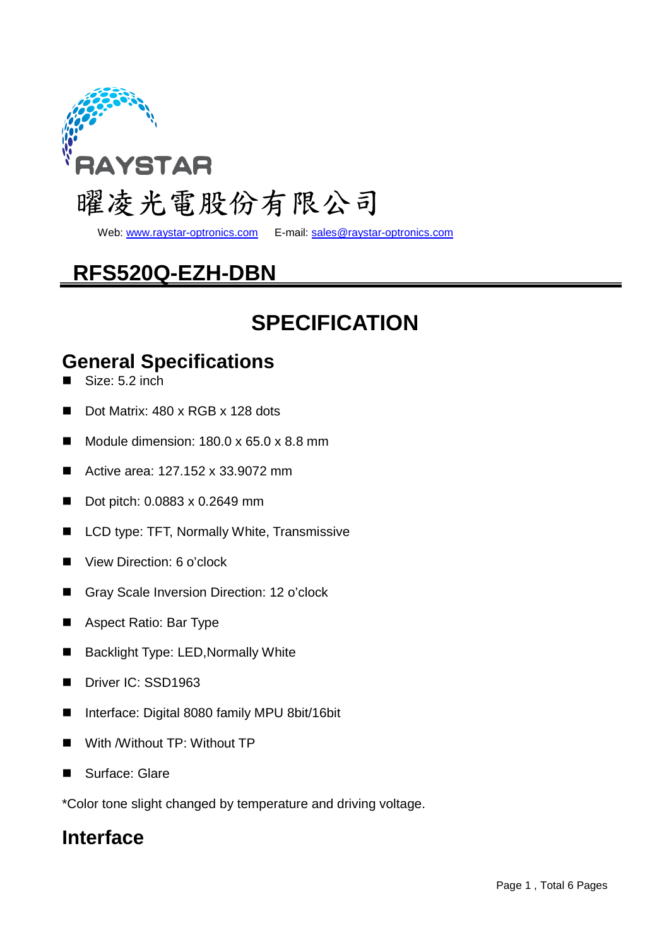

Web: www.raystar-optronics.com E-mail: sales@raystar-optronics.com

# **RFS520Q-EZH-DBN**

## **SPECIFICATION**

## **General Specifications**

- Size: 5.2 inch
- Dot Matrix: 480 x RGB x 128 dots
- Module dimension:  $180.0 \times 65.0 \times 8.8$  mm
- Active area: 127.152 x 33.9072 mm
- Dot pitch: 0.0883 x 0.2649 mm
- LCD type: TFT, Normally White, Transmissive
- View Direction: 6 o'clock
- Gray Scale Inversion Direction: 12 o'clock
- Aspect Ratio: Bar Type
- Backlight Type: LED, Normally White
- Driver IC: SSD1963
- Interface: Digital 8080 family MPU 8bit/16bit
- With /Without TP: Without TP
- Surface: Glare

\*Color tone slight changed by temperature and driving voltage.

### **Interface**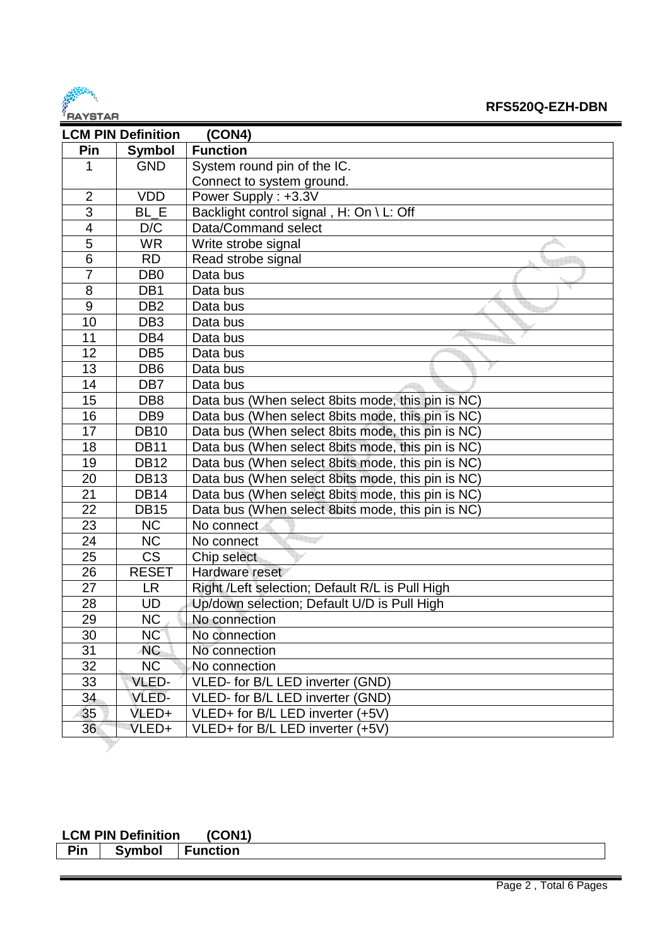

| <u>DATUTAD</u><br><b>LCM PIN Definition</b> |                 | (CON4)                                            |
|---------------------------------------------|-----------------|---------------------------------------------------|
| Pin                                         | <b>Symbol</b>   | <b>Function</b>                                   |
| 1                                           | <b>GND</b>      | System round pin of the IC.                       |
|                                             |                 | Connect to system ground.                         |
| $\overline{2}$                              | <b>VDD</b>      | Power Supply: +3.3V                               |
| 3                                           | BL E            | Backlight control signal, H: On \ L: Off          |
| $\overline{\mathbf{4}}$                     | D/C             | Data/Command select                               |
| $\overline{5}$                              | <b>WR</b>       | Write strobe signal                               |
| $\overline{6}$                              | <b>RD</b>       | Read strobe signal                                |
| 7                                           | DB <sub>0</sub> | Data bus                                          |
| 8                                           | DB1             | Data bus                                          |
| $\boldsymbol{9}$                            | DB <sub>2</sub> | Data bus                                          |
| 10                                          | DB <sub>3</sub> | Data bus                                          |
| 11                                          | DB4             | Data bus                                          |
| 12                                          | DB <sub>5</sub> | Data bus                                          |
| 13                                          | DB <sub>6</sub> | Data bus                                          |
| 14                                          | DB7             | Data bus                                          |
| 15                                          | DB <sub>8</sub> | Data bus (When select 8bits mode, this pin is NC) |
| 16                                          | DB <sub>9</sub> | Data bus (When select 8bits mode, this pin is NC) |
| 17                                          | <b>DB10</b>     | Data bus (When select 8bits mode, this pin is NC) |
| 18                                          | <b>DB11</b>     | Data bus (When select 8bits mode, this pin is NC) |
| 19                                          | <b>DB12</b>     | Data bus (When select 8bits mode, this pin is NC) |
| 20                                          | <b>DB13</b>     | Data bus (When select 8bits mode, this pin is NC) |
| 21                                          | <b>DB14</b>     | Data bus (When select 8bits mode, this pin is NC) |
| 22                                          | <b>DB15</b>     | Data bus (When select 8bits mode, this pin is NC) |
| 23                                          | <b>NC</b>       | No connect                                        |
| $\overline{24}$                             | <b>NC</b>       | No connect                                        |
| 25                                          | <b>CS</b>       | Chip select                                       |
| 26                                          | <b>RESET</b>    | Hardware reset                                    |
| 27                                          | <b>LR</b>       | Right /Left selection; Default R/L is Pull High   |
| 28                                          | UD              | Up/down selection; Default U/D is Pull High       |
| 29                                          | <b>NC</b>       | No connection                                     |
| 30                                          | NC              | No connection                                     |
| 31                                          | <b>NC</b>       | No connection                                     |
| 32                                          | <b>NC</b>       | No connection                                     |
| 33                                          | VLED-           | VLED- for B/L LED inverter (GND)                  |
| 34                                          | VLED-           | VLED- for B/L LED inverter (GND)                  |
| 35                                          | VLED+           | VLED+ for B/L LED inverter (+5V)                  |
| 36                                          | VLED+           | VLED+ for B/L LED inverter (+5V)                  |

## **LCM PIN Definition (CON1)**

| Symbol<br>Pin | <b>Function</b> |
|---------------|-----------------|
|---------------|-----------------|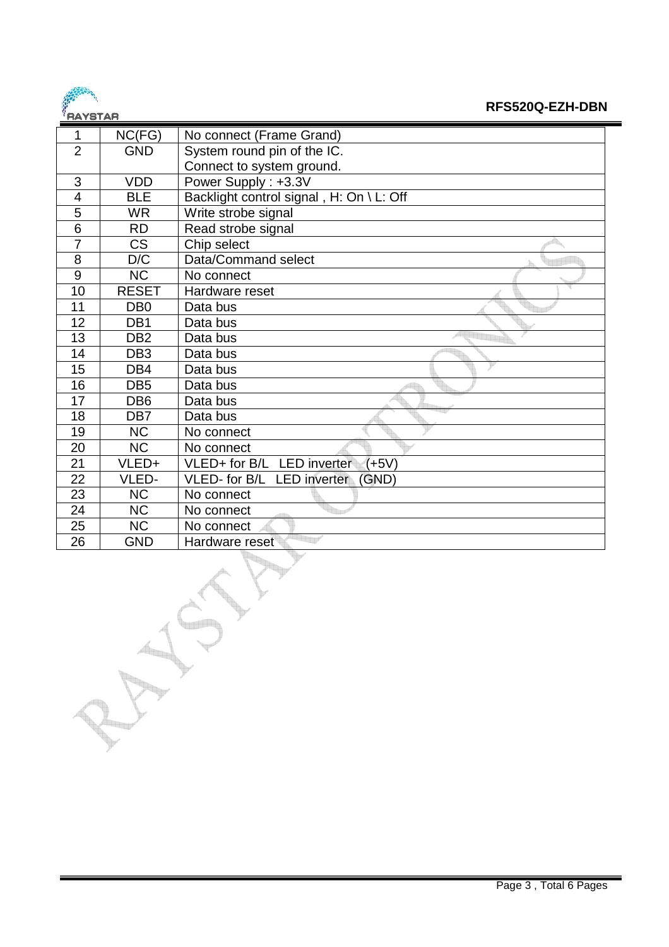

#### **RFS520Q-EZH-DBN**

| .              |                 |                                           |
|----------------|-----------------|-------------------------------------------|
| 1              | NC(FG)          | No connect (Frame Grand)                  |
| $\overline{2}$ | <b>GND</b>      | System round pin of the IC.               |
|                |                 | Connect to system ground.                 |
| 3              | <b>VDD</b>      | Power Supply: +3.3V                       |
| 4              | <b>BLE</b>      | Backlight control signal, H: On \ L: Off  |
| 5              | <b>WR</b>       | Write strobe signal                       |
| 6              | <b>RD</b>       | Read strobe signal                        |
| $\overline{7}$ | <b>CS</b>       | Chip select                               |
| 8              | D/C             | Data/Command select                       |
| 9              | <b>NC</b>       | No connect                                |
| 10             | <b>RESET</b>    | Hardware reset                            |
| 11             | DB <sub>0</sub> | Data bus                                  |
| 12             | DB <sub>1</sub> | Data bus                                  |
| 13             | DB <sub>2</sub> | Data bus                                  |
| 14             | DB <sub>3</sub> | Data bus                                  |
| 15             | DB4             | Data bus                                  |
| 16             | DB <sub>5</sub> | Data bus                                  |
| 17             | DB <sub>6</sub> | Data bus                                  |
| 18             | DB7             | Data bus                                  |
| 19             | <b>NC</b>       | No connect                                |
| 20             | <b>NC</b>       | No connect                                |
| 21             | VLED+           | VLED+ for B/L LED inverter<br>$(+5V)$     |
| 22             | VLED-           | VLED- for B/L LED inverter<br><b>GND)</b> |
| 23             | <b>NC</b>       | No connect                                |
| 24             | <b>NC</b>       | No connect                                |
| 25             | <b>NC</b>       | No connect                                |
| 26             | <b>GND</b>      | Hardware reset                            |
|                |                 |                                           |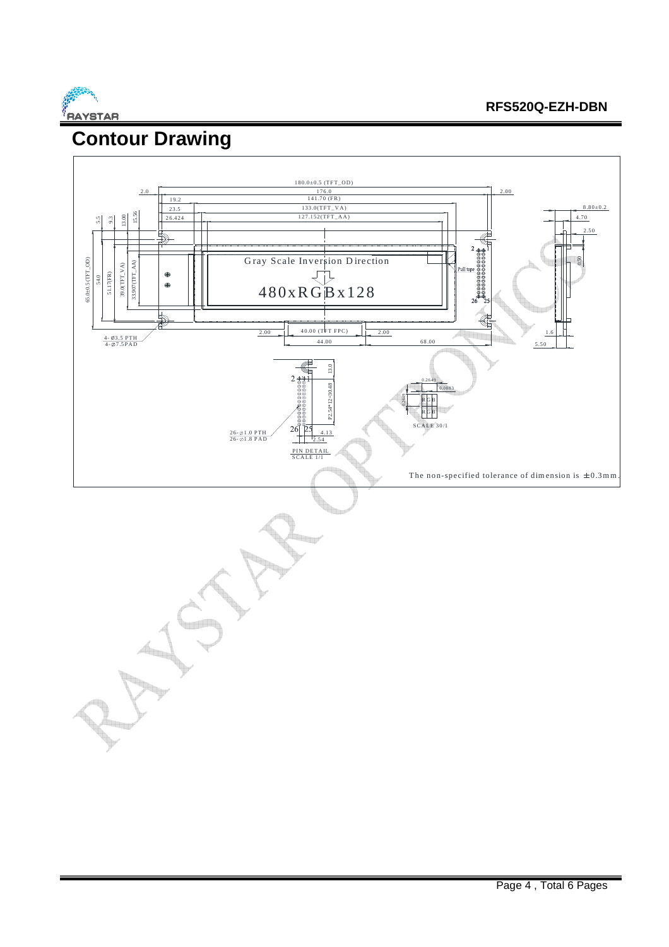

#### **RFS520Q-EZH-DBN**

# **Contour Drawing**

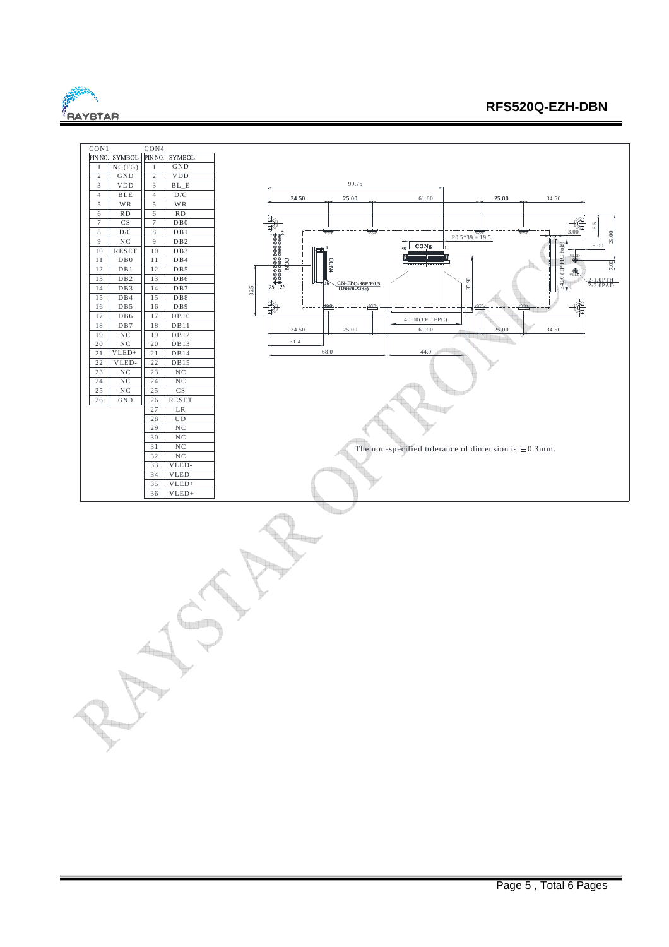

#### **RFS520Q-EZH-DBN**